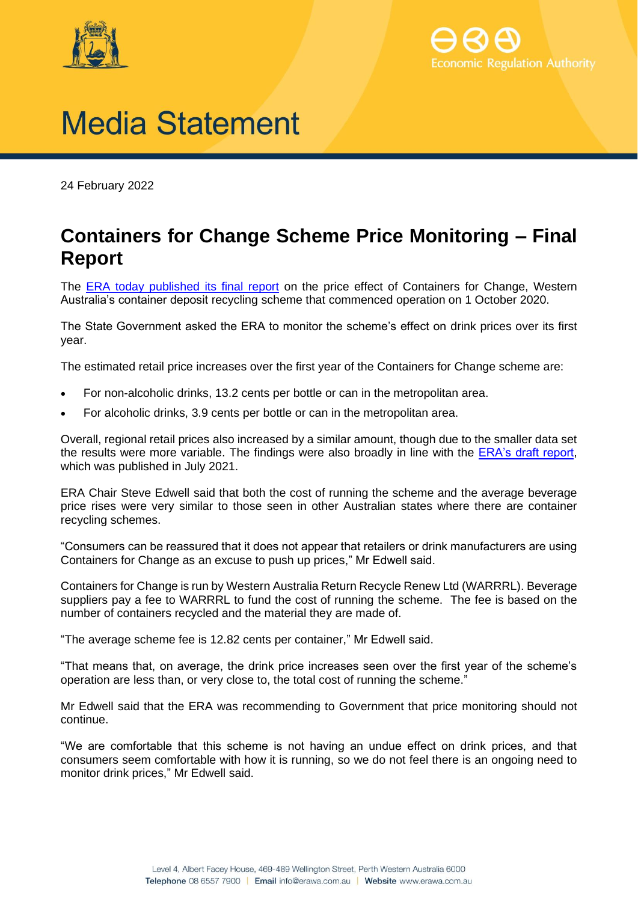



## **Media Statement**

24 February 2022

## **Containers for Change Scheme Price Monitoring – Final Report**

The ERA [today published its final report](http://www.erawa.com.au/containerdeposits) on the price effect of Containers for Change, Western Australia's container deposit recycling scheme that commenced operation on 1 October 2020.

The State Government asked the ERA to monitor the scheme's effect on drink prices over its first year.

The estimated retail price increases over the first year of the Containers for Change scheme are:

- For non-alcoholic drinks, 13.2 cents per bottle or can in the metropolitan area.
- For alcoholic drinks, 3.9 cents per bottle or can in the metropolitan area.

Overall, regional retail prices also increased by a similar amount, though due to the smaller data set the results were more variable. The findings were also broadly in line with the [ERA's draft report,](http://www.erawa.com.au/containerdeposits) which was published in July 2021.

ERA Chair Steve Edwell said that both the cost of running the scheme and the average beverage price rises were very similar to those seen in other Australian states where there are container recycling schemes.

"Consumers can be reassured that it does not appear that retailers or drink manufacturers are using Containers for Change as an excuse to push up prices," Mr Edwell said.

Containers for Change is run by Western Australia Return Recycle Renew Ltd (WARRRL). Beverage suppliers pay a fee to WARRRL to fund the cost of running the scheme. The fee is based on the number of containers recycled and the material they are made of.

"The average scheme fee is 12.82 cents per container," Mr Edwell said.

"That means that, on average, the drink price increases seen over the first year of the scheme's operation are less than, or very close to, the total cost of running the scheme."

Mr Edwell said that the ERA was recommending to Government that price monitoring should not continue.

"We are comfortable that this scheme is not having an undue effect on drink prices, and that consumers seem comfortable with how it is running, so we do not feel there is an ongoing need to monitor drink prices," Mr Edwell said.